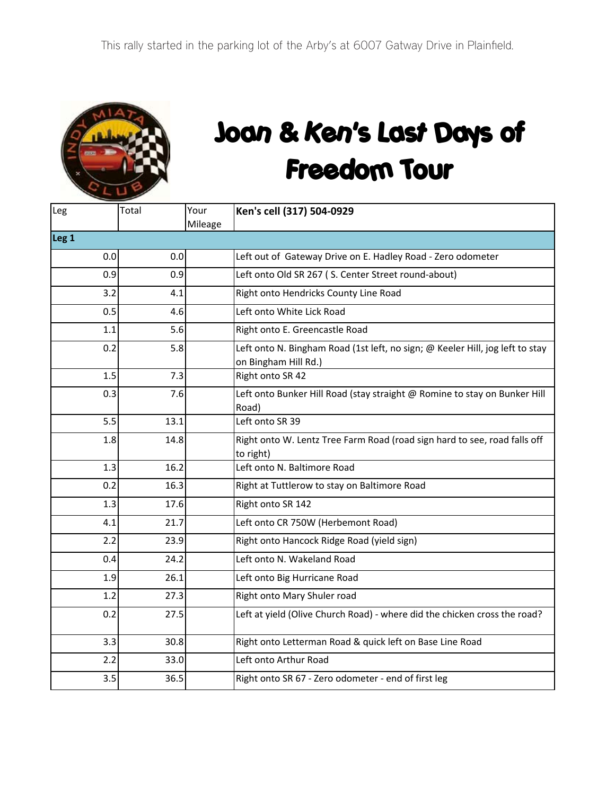

## Joan & Ken's Last Days of Freedom Tour

| Leg              | Total | Your    | Ken's cell (317) 504-0929                                                                             |  |  |  |
|------------------|-------|---------|-------------------------------------------------------------------------------------------------------|--|--|--|
|                  |       | Mileage |                                                                                                       |  |  |  |
| Leg <sub>1</sub> |       |         |                                                                                                       |  |  |  |
| 0.0              | 0.0   |         | Left out of Gateway Drive on E. Hadley Road - Zero odometer                                           |  |  |  |
| 0.9              | 0.9   |         | Left onto Old SR 267 (S. Center Street round-about)                                                   |  |  |  |
| 3.2              | 4.1   |         | Right onto Hendricks County Line Road                                                                 |  |  |  |
| 0.5              | 4.6   |         | Left onto White Lick Road                                                                             |  |  |  |
| 1.1              | 5.6   |         | Right onto E. Greencastle Road                                                                        |  |  |  |
| 0.2              | 5.8   |         | Left onto N. Bingham Road (1st left, no sign; @ Keeler Hill, jog left to stay<br>on Bingham Hill Rd.) |  |  |  |
| 1.5              | 7.3   |         | Right onto SR 42                                                                                      |  |  |  |
| 0.3              | 7.6   |         | Left onto Bunker Hill Road (stay straight @ Romine to stay on Bunker Hill<br>Road)                    |  |  |  |
| 5.5              | 13.1  |         | Left onto SR 39                                                                                       |  |  |  |
| 1.8              | 14.8  |         | Right onto W. Lentz Tree Farm Road (road sign hard to see, road falls off<br>to right)                |  |  |  |
| 1.3              | 16.2  |         | Left onto N. Baltimore Road                                                                           |  |  |  |
| 0.2              | 16.3  |         | Right at Tuttlerow to stay on Baltimore Road                                                          |  |  |  |
| 1.3              | 17.6  |         | Right onto SR 142                                                                                     |  |  |  |
| 4.1              | 21.7  |         | Left onto CR 750W (Herbemont Road)                                                                    |  |  |  |
| 2.2              | 23.9  |         | Right onto Hancock Ridge Road (yield sign)                                                            |  |  |  |
| 0.4              | 24.2  |         | Left onto N. Wakeland Road                                                                            |  |  |  |
| 1.9              | 26.1  |         | Left onto Big Hurricane Road                                                                          |  |  |  |
| 1.2              | 27.3  |         | Right onto Mary Shuler road                                                                           |  |  |  |
| 0.2              | 27.5  |         | Left at yield (Olive Church Road) - where did the chicken cross the road?                             |  |  |  |
| 3.3              | 30.8  |         | Right onto Letterman Road & quick left on Base Line Road                                              |  |  |  |
| 2.2              | 33.0  |         | Left onto Arthur Road                                                                                 |  |  |  |
| 3.5              | 36.5  |         | Right onto SR 67 - Zero odometer - end of first leg                                                   |  |  |  |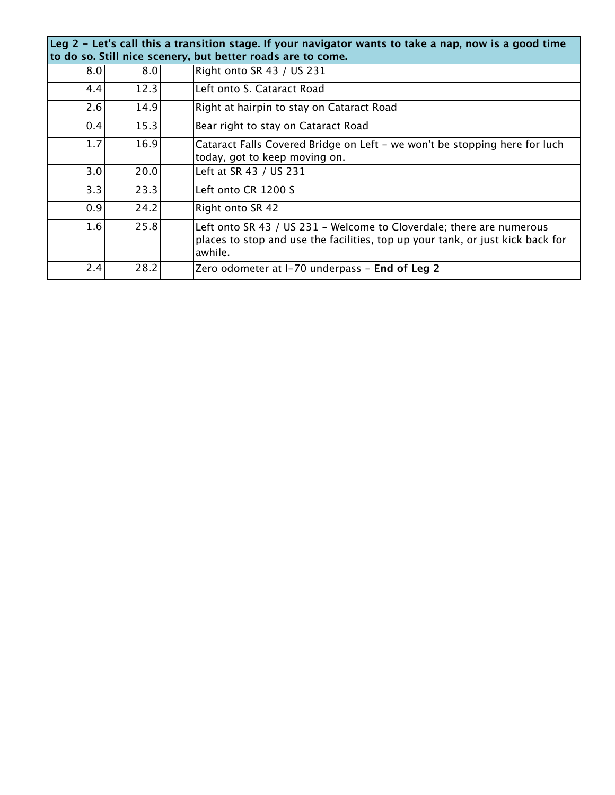| Leg 2 - Let's call this a transition stage. If your navigator wants to take a nap, now is a good time<br>to do so. Still nice scenery, but better roads are to come. |      |                                                                                                                                                                   |  |  |  |
|----------------------------------------------------------------------------------------------------------------------------------------------------------------------|------|-------------------------------------------------------------------------------------------------------------------------------------------------------------------|--|--|--|
| 8.0                                                                                                                                                                  | 8.0  | Right onto SR 43 / US 231                                                                                                                                         |  |  |  |
| 4.4                                                                                                                                                                  | 12.3 | Left onto S. Cataract Road                                                                                                                                        |  |  |  |
| 2.6                                                                                                                                                                  | 14.9 | Right at hairpin to stay on Cataract Road                                                                                                                         |  |  |  |
| 0.4                                                                                                                                                                  | 15.3 | Bear right to stay on Cataract Road                                                                                                                               |  |  |  |
| 1.7                                                                                                                                                                  | 16.9 | Cataract Falls Covered Bridge on Left - we won't be stopping here for luch<br>today, got to keep moving on.                                                       |  |  |  |
| 3.0 <sub>l</sub>                                                                                                                                                     | 20.0 | Left at SR 43 / US 231                                                                                                                                            |  |  |  |
| 3.3                                                                                                                                                                  | 23.3 | Left onto CR 1200 S                                                                                                                                               |  |  |  |
| 0.9                                                                                                                                                                  | 24.2 | Right onto SR 42                                                                                                                                                  |  |  |  |
| 1.6                                                                                                                                                                  | 25.8 | Left onto SR 43 / US 231 - Welcome to Cloverdale; there are numerous<br>places to stop and use the facilities, top up your tank, or just kick back for<br>awhile. |  |  |  |
| 2.4                                                                                                                                                                  | 28.2 | Zero odometer at I-70 underpass - End of Leg 2                                                                                                                    |  |  |  |